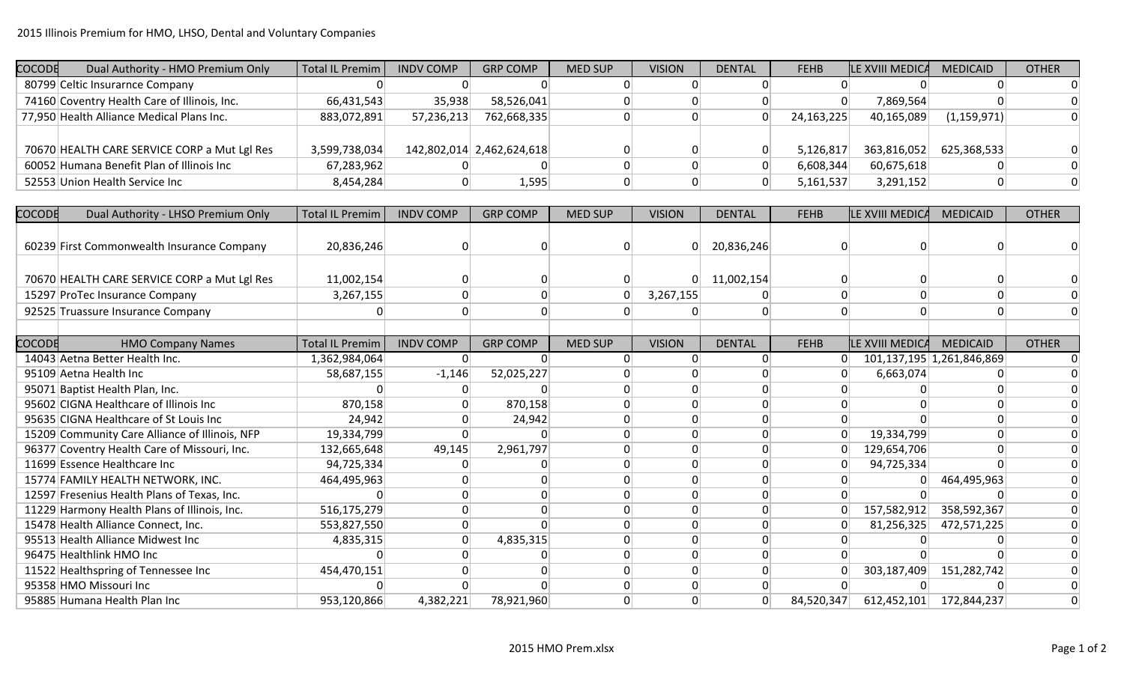| COCODE | Dual Authority - HMO Premium Only            | Total IL Premim | <b>INDV COMP</b> | <b>GRP COMP</b>           | <b>MED SUP</b> | <b>VISION</b> | <b>DENTAL</b> | <b>FEHB</b> | <b>LE XVIII MEDICA</b> | <b>MEDICAID</b> | <b>OTHER</b> |
|--------|----------------------------------------------|-----------------|------------------|---------------------------|----------------|---------------|---------------|-------------|------------------------|-----------------|--------------|
|        | 80799 Celtic Insurarnce Company              |                 |                  |                           |                |               |               |             |                        |                 |              |
|        | 74160 Coventry Health Care of Illinois, Inc. | 66,431,543      | 35,938           | 58,526,041                |                |               |               |             | 7,869,564              |                 |              |
|        | 77,950 Health Alliance Medical Plans Inc.    | 883,072,891     | 57,236,213       | 762,668,335               |                |               |               | 24,163,225  | 40,165,089             | (1, 159, 971)   |              |
|        |                                              |                 |                  |                           |                |               |               |             |                        |                 |              |
|        | 70670 HEALTH CARE SERVICE CORP a Mut Lgl Res | 3,599,738,034   |                  | 142,802,014 2,462,624,618 |                |               |               | 5,126,817   | 363,816,052            | 625,368,533     |              |
|        | 60052 Humana Benefit Plan of Illinois Inc    | 67,283,962      |                  |                           |                |               |               | 6,608,344   | 60,675,618             |                 |              |
|        | 52553 Union Health Service Inc               | 8,454,284       |                  | 1,595                     |                |               |               | 5,161,537   | 3,291,152              |                 |              |

| <b>COCODE</b> | Dual Authority - LHSO Premium Only             | <b>Total IL Premim</b> | <b>INDV COMP</b> | <b>GRP COMP</b> | <b>MED SUP</b> | <b>VISION</b> | <b>DENTAL</b>   | <b>FEHB</b>    | <b>ILE XVIII MEDICA</b> | <b>MEDICAID</b>           | <b>OTHER</b> |
|---------------|------------------------------------------------|------------------------|------------------|-----------------|----------------|---------------|-----------------|----------------|-------------------------|---------------------------|--------------|
|               |                                                |                        |                  |                 |                |               |                 |                |                         |                           |              |
|               | 60239 First Commonwealth Insurance Company     | 20,836,246             |                  | 0               |                | $\Omega$      | 20,836,246      | $\Omega$       |                         |                           |              |
|               |                                                |                        |                  |                 |                |               |                 |                |                         |                           |              |
|               | 70670 HEALTH CARE SERVICE CORP a Mut Lgl Res   | 11,002,154             |                  |                 |                | $\Omega$      | 11,002,154      |                |                         |                           |              |
|               | 15297 ProTec Insurance Company                 | 3,267,155              |                  |                 |                | 3,267,155     |                 | $\Omega$       |                         |                           |              |
|               | 92525 Truassure Insurance Company              |                        | $\Omega$         |                 |                |               | $\Omega$        | $\overline{0}$ |                         |                           |              |
|               |                                                |                        |                  |                 |                |               |                 |                |                         |                           |              |
| <b>COCODE</b> | <b>HMO Company Names</b>                       | <b>Total IL Premim</b> | <b>INDV COMP</b> | <b>GRP COMP</b> | <b>MED SUP</b> | <b>VISION</b> | <b>DENTAL</b>   | <b>FEHB</b>    | LE XVIII MEDICA         | <b>MEDICAID</b>           | <b>OTHER</b> |
|               | 14043 Aetna Better Health Inc.                 | 1,362,984,064          |                  |                 |                | $\Omega$      | $\mathbf{0}$    | $\Omega$       |                         | 101,137,195 1,261,846,869 |              |
|               | 95109 Aetna Health Inc                         | 58,687,155             | $-1,146$         | 52,025,227      |                |               | <sup>0</sup>    |                | 6,663,074               |                           |              |
|               | 95071 Baptist Health Plan, Inc.                |                        |                  |                 |                |               | 0               |                |                         |                           |              |
|               | 95602 CIGNA Healthcare of Illinois Inc         | 870,158                |                  | 870,158         |                |               | $\Omega$        | $\Omega$       |                         |                           |              |
|               | 95635 CIGNA Healthcare of St Louis Inc         | 24,942                 |                  | 24,942          |                |               | $\mathbf{0}$    | $\overline{0}$ |                         |                           |              |
|               | 15209 Community Care Alliance of Illinois, NFP | 19,334,799             |                  | 0               |                |               | $\Omega$        | 0              | 19,334,799              |                           |              |
|               | 96377 Coventry Health Care of Missouri, Inc.   | 132,665,648            | 49,145           | 2,961,797       |                |               | $\mathbf{0}$    | $\Omega$       | 129,654,706             |                           |              |
|               | 11699 Essence Healthcare Inc                   | 94,725,334             |                  |                 |                |               | 0               | $\Omega$       | 94,725,334              |                           |              |
|               | 15774 FAMILY HEALTH NETWORK, INC.              | 464,495,963            |                  | ∩               |                | O             | $\vert 0 \vert$ | $\Omega$       |                         | 464,495,963               |              |
|               | 12597 Fresenius Health Plans of Texas, Inc.    |                        |                  |                 |                |               | 0               | $\Omega$       |                         |                           |              |
|               | 11229 Harmony Health Plans of Illinois, Inc.   | 516,175,279            |                  |                 |                |               | $\mathbf{0}$    | $\Omega$       | 157,582,912             | 358,592,367               |              |
|               | 15478 Health Alliance Connect, Inc.            | 553,827,550            |                  |                 |                |               | 0               |                | 81,256,325              | 472,571,225               |              |
|               | 95513 Health Alliance Midwest Inc              | 4,835,315              |                  | 4,835,315       |                |               | $\Omega$        |                |                         |                           |              |
|               | 96475 Healthlink HMO Inc                       |                        |                  |                 |                |               | $\Omega$        |                |                         |                           |              |
|               | 11522 Healthspring of Tennessee Inc            | 454,470,151            |                  |                 |                |               | $\mathbf{0}$    |                | 303,187,409             | 151,282,742               |              |
|               | 95358 HMO Missouri Inc                         |                        |                  |                 |                |               | $\mathbf{0}$    |                |                         |                           |              |
|               | 95885 Humana Health Plan Inc                   | 953,120,866            | 4,382,221        | 78,921,960      |                |               | $\overline{0}$  | 84,520,347     | 612,452,101             | 172,844,237               |              |